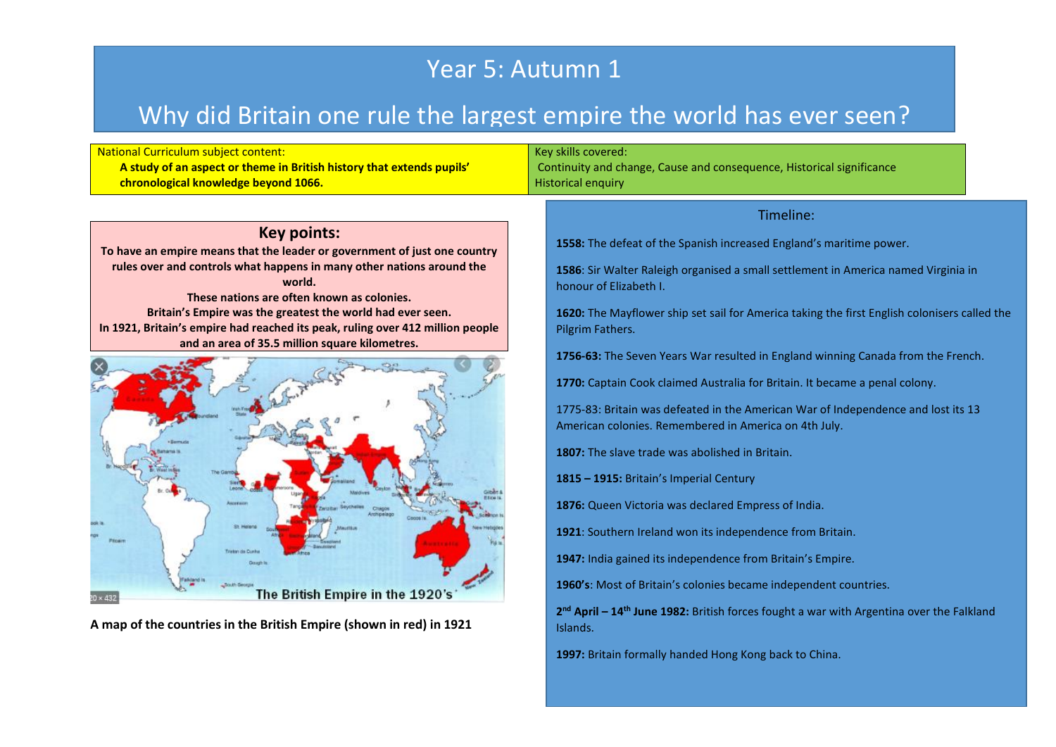## Year 5: Autumn 1

## Why did Britain one rule the largest empire the world has ever seen?

| <b>National Curriculum subject content:</b><br>A study of an aspect or theme in British history that extends pupils'<br>chronological knowledge beyond 1066. | Key skills covered:<br>Continuity and change, Cause and consequence, Historical significance<br><b>Historical enquiry</b>                  |
|--------------------------------------------------------------------------------------------------------------------------------------------------------------|--------------------------------------------------------------------------------------------------------------------------------------------|
|                                                                                                                                                              | Timeline:                                                                                                                                  |
| <b>Key points:</b>                                                                                                                                           | 1558: The defeat of the Spanish increased England's maritime power.                                                                        |
| To have an empire means that the leader or government of just one country                                                                                    |                                                                                                                                            |
| rules over and controls what happens in many other nations around the                                                                                        | 1586: Sir Walter Raleigh organised a small settlement in America named Virginia in                                                         |
| world.<br>These nations are often known as colonies.                                                                                                         | honour of Elizabeth I.                                                                                                                     |
| Britain's Empire was the greatest the world had ever seen.                                                                                                   | 1620: The Mayflower ship set sail for America taking the first English colonisers called the                                               |
| In 1921, Britain's empire had reached its peak, ruling over 412 million people                                                                               | Pilgrim Fathers.                                                                                                                           |
| and an area of 35.5 million square kilometres.                                                                                                               |                                                                                                                                            |
|                                                                                                                                                              | 1756-63: The Seven Years War resulted in England winning Canada from the French.                                                           |
|                                                                                                                                                              | 1770: Captain Cook claimed Australia for Britain. It became a penal colony.                                                                |
|                                                                                                                                                              |                                                                                                                                            |
|                                                                                                                                                              | 1775-83: Britain was defeated in the American War of Independence and lost its 13<br>American colonies. Remembered in America on 4th July. |
|                                                                                                                                                              |                                                                                                                                            |
|                                                                                                                                                              | 1807: The slave trade was abolished in Britain.                                                                                            |
|                                                                                                                                                              | 1815 - 1915: Britain's Imperial Century                                                                                                    |
|                                                                                                                                                              |                                                                                                                                            |
| Aceraio                                                                                                                                                      | 1876: Queen Victoria was declared Empress of India.                                                                                        |
|                                                                                                                                                              | 1921: Southern Ireland won its independence from Britain.                                                                                  |
| ristan da Duch                                                                                                                                               |                                                                                                                                            |
|                                                                                                                                                              | 1947: India gained its independence from Britain's Empire.                                                                                 |
|                                                                                                                                                              | 1960's: Most of Britain's colonies became independent countries.                                                                           |
| The British Empire in the 1920's<br>$20 \times 432$                                                                                                          |                                                                                                                                            |
| A map of the countries in the British Empire (shown in red) in 1921                                                                                          | 2 <sup>nd</sup> April - 14 <sup>th</sup> June 1982: British forces fought a war with Argentina over the Falkland<br>Islands.               |
|                                                                                                                                                              |                                                                                                                                            |
|                                                                                                                                                              | 1997: Britain formally handed Hong Kong back to China.                                                                                     |